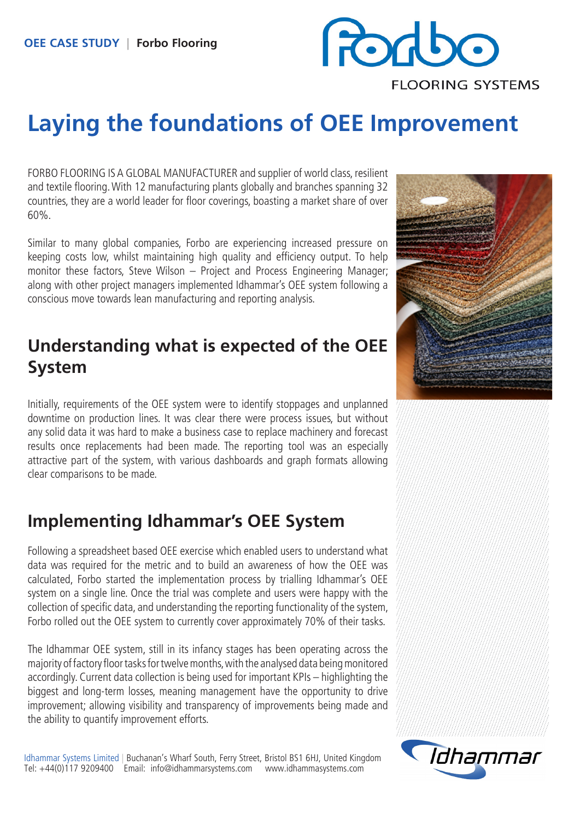

# **Laying the foundations of OEE Improvement**

FORBO FLOORING IS A GLOBAL MANUFACTURER and supplier of world class, resilient and textile flooring. With 12 manufacturing plants globally and branches spanning 32 countries, they are a world leader for floor coverings, boasting a market share of over 60%.

Similar to many global companies, Forbo are experiencing increased pressure on keeping costs low, whilst maintaining high quality and efficiency output. To help monitor these factors, Steve Wilson – Project and Process Engineering Manager; along with other project managers implemented Idhammar's OEE system following a conscious move towards lean manufacturing and reporting analysis.

## **Understanding what is expected of the OEE System**

Initially, requirements of the OEE system were to identify stoppages and unplanned downtime on production lines. It was clear there were process issues, but without any solid data it was hard to make a business case to replace machinery and forecast results once replacements had been made. The reporting tool was an especially attractive part of the system, with various dashboards and graph formats allowing clear comparisons to be made.

## **Implementing Idhammar's OEE System**

Following a spreadsheet based OEE exercise which enabled users to understand what data was required for the metric and to build an awareness of how the OEE was calculated, Forbo started the implementation process by trialling Idhammar's OEE system on a single line. Once the trial was complete and users were happy with the collection of specific data, and understanding the reporting functionality of the system, Forbo rolled out the OEE system to currently cover approximately 70% of their tasks.

The Idhammar OEE system, still in its infancy stages has been operating across the majority of factory floor tasks for twelve months, with the analysed data being monitored accordingly. Current data collection is being used for important KPIs – highlighting the biggest and long-term losses, meaning management have the opportunity to drive improvement; allowing visibility and transparency of improvements being made and the ability to quantify improvement efforts.

Idhammar Systems Limited | Buchanan's Wharf South, Ferry Street, Bristol BS1 6HJ, United Kingdom Tel: +44(0)117 9209400 Email: info@idhammarsystems.com www.idhammasystems.com